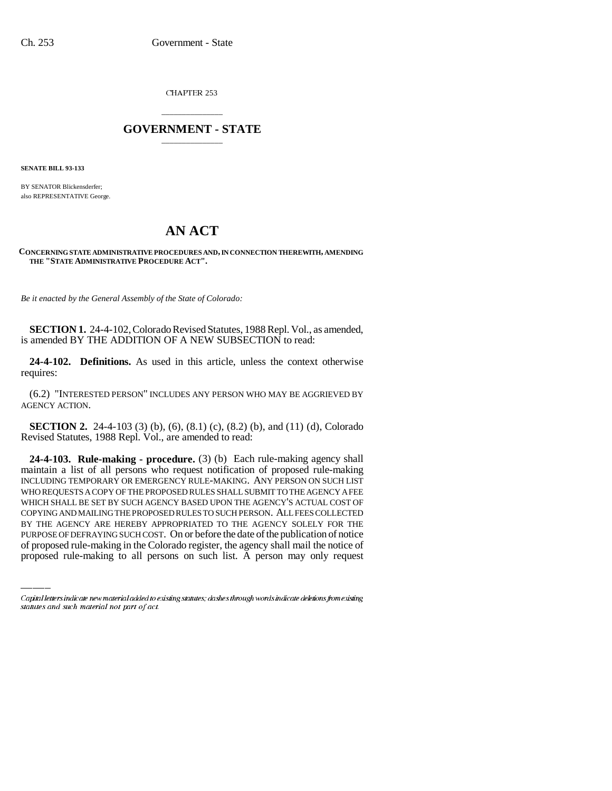CHAPTER 253

## \_\_\_\_\_\_\_\_\_\_\_\_\_\_\_ **GOVERNMENT - STATE** \_\_\_\_\_\_\_\_\_\_\_\_\_\_\_

**SENATE BILL 93-133**

BY SENATOR Blickensderfer; also REPRESENTATIVE George.

## **AN ACT**

## **CONCERNING STATE ADMINISTRATIVE PROCEDURES AND, IN CONNECTION THEREWITH, AMENDING THE "STATE ADMINISTRATIVE PROCEDURE ACT".**

*Be it enacted by the General Assembly of the State of Colorado:*

**SECTION 1.** 24-4-102, Colorado Revised Statutes, 1988 Repl. Vol., as amended, is amended BY THE ADDITION OF A NEW SUBSECTION to read:

**24-4-102. Definitions.** As used in this article, unless the context otherwise requires:

(6.2) "INTERESTED PERSON" INCLUDES ANY PERSON WHO MAY BE AGGRIEVED BY AGENCY ACTION.

**SECTION 2.** 24-4-103 (3) (b), (6), (8.1) (c), (8.2) (b), and (11) (d), Colorado Revised Statutes, 1988 Repl. Vol., are amended to read:

COPYING AND MAILING THE PROPOSED RULES TO SUCH PERSON. ALL FEES COLLECTED **24-4-103. Rule-making - procedure.** (3) (b) Each rule-making agency shall maintain a list of all persons who request notification of proposed rule-making INCLUDING TEMPORARY OR EMERGENCY RULE-MAKING. ANY PERSON ON SUCH LIST WHO REQUESTS A COPY OF THE PROPOSED RULES SHALL SUBMIT TO THE AGENCY A FEE WHICH SHALL BE SET BY SUCH AGENCY BASED UPON THE AGENCY'S ACTUAL COST OF BY THE AGENCY ARE HEREBY APPROPRIATED TO THE AGENCY SOLELY FOR THE PURPOSE OF DEFRAYING SUCH COST. On or before the date of the publication of notice of proposed rule-making in the Colorado register, the agency shall mail the notice of proposed rule-making to all persons on such list. A person may only request

Capital letters indicate new material added to existing statutes; dashes through words indicate deletions from existing statutes and such material not part of act.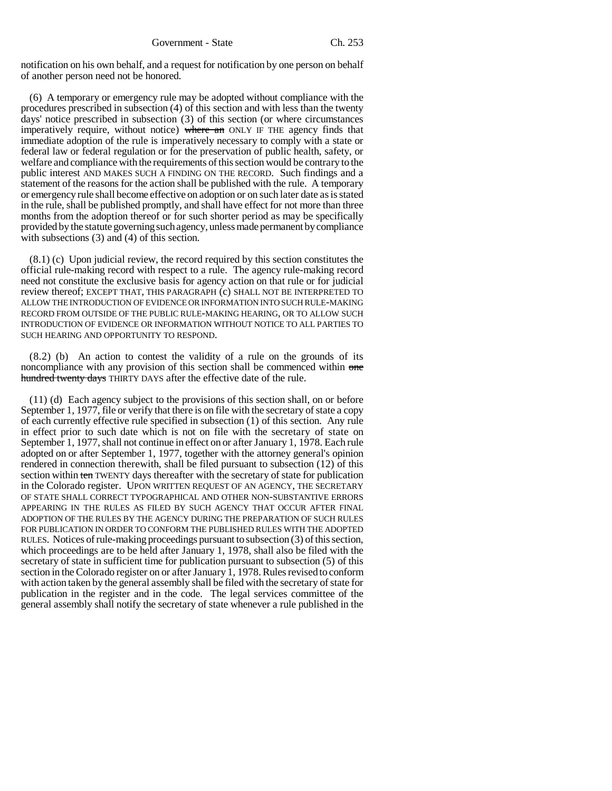notification on his own behalf, and a request for notification by one person on behalf of another person need not be honored.

(6) A temporary or emergency rule may be adopted without compliance with the procedures prescribed in subsection (4) of this section and with less than the twenty days' notice prescribed in subsection (3) of this section (or where circumstances imperatively require, without notice) where an ONLY IF THE agency finds that immediate adoption of the rule is imperatively necessary to comply with a state or federal law or federal regulation or for the preservation of public health, safety, or welfare and compliance with the requirements of this section would be contrary to the public interest AND MAKES SUCH A FINDING ON THE RECORD. Such findings and a statement of the reasons for the action shall be published with the rule. A temporary or emergency rule shall become effective on adoption or on such later date as is stated in the rule, shall be published promptly, and shall have effect for not more than three months from the adoption thereof or for such shorter period as may be specifically provided by the statute governing such agency, unless made permanent by compliance with subsections (3) and (4) of this section.

(8.1) (c) Upon judicial review, the record required by this section constitutes the official rule-making record with respect to a rule. The agency rule-making record need not constitute the exclusive basis for agency action on that rule or for judicial review thereof; EXCEPT THAT, THIS PARAGRAPH (c) SHALL NOT BE INTERPRETED TO ALLOW THE INTRODUCTION OF EVIDENCE OR INFORMATION INTO SUCH RULE-MAKING RECORD FROM OUTSIDE OF THE PUBLIC RULE-MAKING HEARING, OR TO ALLOW SUCH INTRODUCTION OF EVIDENCE OR INFORMATION WITHOUT NOTICE TO ALL PARTIES TO SUCH HEARING AND OPPORTUNITY TO RESPOND.

(8.2) (b) An action to contest the validity of a rule on the grounds of its noncompliance with any provision of this section shall be commenced within one hundred twenty days THIRTY DAYS after the effective date of the rule.

(11) (d) Each agency subject to the provisions of this section shall, on or before September 1, 1977, file or verify that there is on file with the secretary of state a copy of each currently effective rule specified in subsection (1) of this section. Any rule in effect prior to such date which is not on file with the secretary of state on September 1, 1977, shall not continue in effect on or after January 1, 1978. Each rule adopted on or after September 1, 1977, together with the attorney general's opinion rendered in connection therewith, shall be filed pursuant to subsection (12) of this section within ten TWENTY days thereafter with the secretary of state for publication in the Colorado register. UPON WRITTEN REQUEST OF AN AGENCY, THE SECRETARY OF STATE SHALL CORRECT TYPOGRAPHICAL AND OTHER NON-SUBSTANTIVE ERRORS APPEARING IN THE RULES AS FILED BY SUCH AGENCY THAT OCCUR AFTER FINAL ADOPTION OF THE RULES BY THE AGENCY DURING THE PREPARATION OF SUCH RULES FOR PUBLICATION IN ORDER TO CONFORM THE PUBLISHED RULES WITH THE ADOPTED RULES. Notices of rule-making proceedings pursuant to subsection (3) of this section, which proceedings are to be held after January 1, 1978, shall also be filed with the secretary of state in sufficient time for publication pursuant to subsection (5) of this section in the Colorado register on or after January 1, 1978. Rules revised to conform with action taken by the general assembly shall be filed with the secretary of state for publication in the register and in the code. The legal services committee of the general assembly shall notify the secretary of state whenever a rule published in the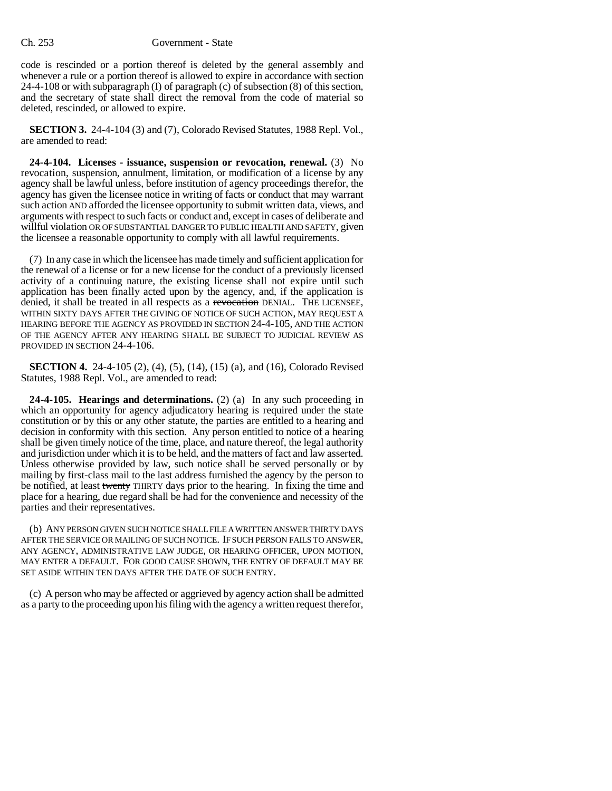code is rescinded or a portion thereof is deleted by the general assembly and whenever a rule or a portion thereof is allowed to expire in accordance with section 24-4-108 or with subparagraph (I) of paragraph (c) of subsection (8) of this section, and the secretary of state shall direct the removal from the code of material so deleted, rescinded, or allowed to expire.

**SECTION 3.** 24-4-104 (3) and (7), Colorado Revised Statutes, 1988 Repl. Vol., are amended to read:

**24-4-104. Licenses - issuance, suspension or revocation, renewal.** (3) No revocation, suspension, annulment, limitation, or modification of a license by any agency shall be lawful unless, before institution of agency proceedings therefor, the agency has given the licensee notice in writing of facts or conduct that may warrant such action AND afforded the licensee opportunity to submit written data, views, and arguments with respect to such facts or conduct and, except in cases of deliberate and willful violation OR OF SUBSTANTIAL DANGER TO PUBLIC HEALTH AND SAFETY, given the licensee a reasonable opportunity to comply with all lawful requirements.

(7) In any case in which the licensee has made timely and sufficient application for the renewal of a license or for a new license for the conduct of a previously licensed activity of a continuing nature, the existing license shall not expire until such application has been finally acted upon by the agency, and, if the application is denied, it shall be treated in all respects as a revocation DENIAL. THE LICENSEE, WITHIN SIXTY DAYS AFTER THE GIVING OF NOTICE OF SUCH ACTION, MAY REQUEST A HEARING BEFORE THE AGENCY AS PROVIDED IN SECTION 24-4-105, AND THE ACTION OF THE AGENCY AFTER ANY HEARING SHALL BE SUBJECT TO JUDICIAL REVIEW AS PROVIDED IN SECTION 24-4-106.

**SECTION 4.** 24-4-105 (2), (4), (5), (14), (15) (a), and (16), Colorado Revised Statutes, 1988 Repl. Vol., are amended to read:

**24-4-105. Hearings and determinations.** (2) (a) In any such proceeding in which an opportunity for agency adjudicatory hearing is required under the state constitution or by this or any other statute, the parties are entitled to a hearing and decision in conformity with this section. Any person entitled to notice of a hearing shall be given timely notice of the time, place, and nature thereof, the legal authority and jurisdiction under which it is to be held, and the matters of fact and law asserted. Unless otherwise provided by law, such notice shall be served personally or by mailing by first-class mail to the last address furnished the agency by the person to be notified, at least twenty THIRTY days prior to the hearing. In fixing the time and place for a hearing, due regard shall be had for the convenience and necessity of the parties and their representatives.

(b) ANY PERSON GIVEN SUCH NOTICE SHALL FILE A WRITTEN ANSWER THIRTY DAYS AFTER THE SERVICE OR MAILING OF SUCH NOTICE. IF SUCH PERSON FAILS TO ANSWER, ANY AGENCY, ADMINISTRATIVE LAW JUDGE, OR HEARING OFFICER, UPON MOTION, MAY ENTER A DEFAULT. FOR GOOD CAUSE SHOWN, THE ENTRY OF DEFAULT MAY BE SET ASIDE WITHIN TEN DAYS AFTER THE DATE OF SUCH ENTRY.

(c) A person who may be affected or aggrieved by agency action shall be admitted as a party to the proceeding upon his filing with the agency a written request therefor,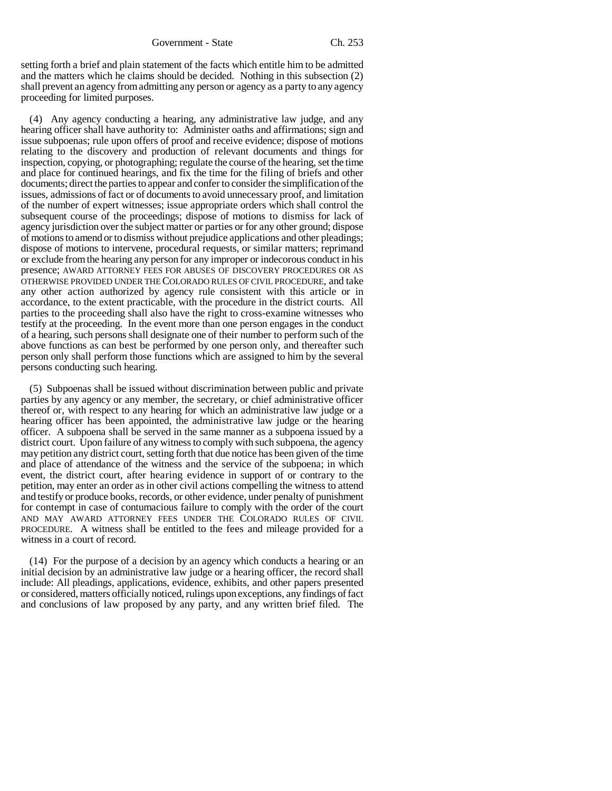setting forth a brief and plain statement of the facts which entitle him to be admitted and the matters which he claims should be decided. Nothing in this subsection (2) shall prevent an agency from admitting any person or agency as a party to any agency proceeding for limited purposes.

(4) Any agency conducting a hearing, any administrative law judge, and any hearing officer shall have authority to: Administer oaths and affirmations; sign and issue subpoenas; rule upon offers of proof and receive evidence; dispose of motions relating to the discovery and production of relevant documents and things for inspection, copying, or photographing; regulate the course of the hearing, set the time and place for continued hearings, and fix the time for the filing of briefs and other documents; direct the parties to appear and confer to consider the simplification of the issues, admissions of fact or of documents to avoid unnecessary proof, and limitation of the number of expert witnesses; issue appropriate orders which shall control the subsequent course of the proceedings; dispose of motions to dismiss for lack of agency jurisdiction over the subject matter or parties or for any other ground; dispose of motions to amend or to dismiss without prejudice applications and other pleadings; dispose of motions to intervene, procedural requests, or similar matters; reprimand or exclude from the hearing any person for any improper or indecorous conduct in his presence; AWARD ATTORNEY FEES FOR ABUSES OF DISCOVERY PROCEDURES OR AS OTHERWISE PROVIDED UNDER THE COLORADO RULES OF CIVIL PROCEDURE, and take any other action authorized by agency rule consistent with this article or in accordance, to the extent practicable, with the procedure in the district courts. All parties to the proceeding shall also have the right to cross-examine witnesses who testify at the proceeding. In the event more than one person engages in the conduct of a hearing, such persons shall designate one of their number to perform such of the above functions as can best be performed by one person only, and thereafter such person only shall perform those functions which are assigned to him by the several persons conducting such hearing.

(5) Subpoenas shall be issued without discrimination between public and private parties by any agency or any member, the secretary, or chief administrative officer thereof or, with respect to any hearing for which an administrative law judge or a hearing officer has been appointed, the administrative law judge or the hearing officer. A subpoena shall be served in the same manner as a subpoena issued by a district court. Upon failure of any witness to comply with such subpoena, the agency may petition any district court, setting forth that due notice has been given of the time and place of attendance of the witness and the service of the subpoena; in which event, the district court, after hearing evidence in support of or contrary to the petition, may enter an order as in other civil actions compelling the witness to attend and testify or produce books, records, or other evidence, under penalty of punishment for contempt in case of contumacious failure to comply with the order of the court AND MAY AWARD ATTORNEY FEES UNDER THE COLORADO RULES OF CIVIL PROCEDURE. A witness shall be entitled to the fees and mileage provided for a witness in a court of record.

(14) For the purpose of a decision by an agency which conducts a hearing or an initial decision by an administrative law judge or a hearing officer, the record shall include: All pleadings, applications, evidence, exhibits, and other papers presented or considered, matters officially noticed, rulings upon exceptions, any findings of fact and conclusions of law proposed by any party, and any written brief filed. The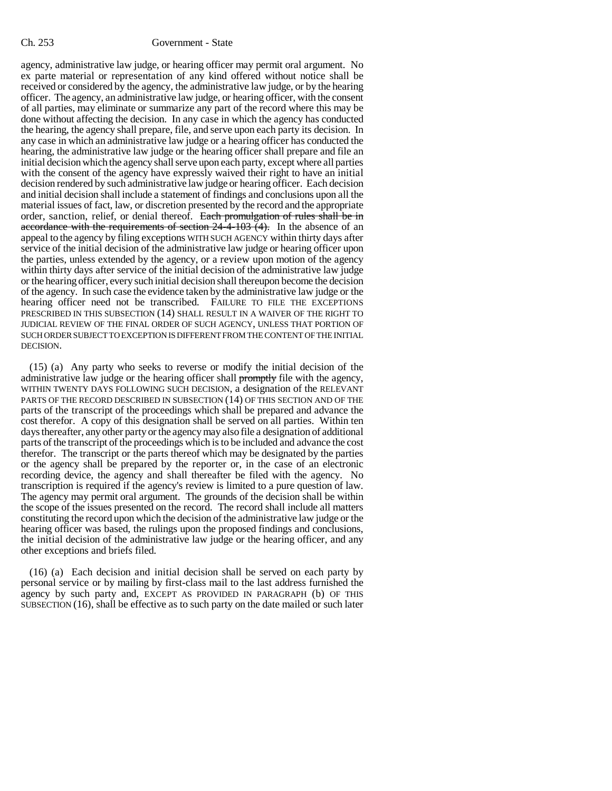agency, administrative law judge, or hearing officer may permit oral argument. No ex parte material or representation of any kind offered without notice shall be received or considered by the agency, the administrative law judge, or by the hearing officer. The agency, an administrative law judge, or hearing officer, with the consent of all parties, may eliminate or summarize any part of the record where this may be done without affecting the decision. In any case in which the agency has conducted the hearing, the agency shall prepare, file, and serve upon each party its decision. In any case in which an administrative law judge or a hearing officer has conducted the hearing, the administrative law judge or the hearing officer shall prepare and file an initial decision which the agency shall serve upon each party, except where all parties with the consent of the agency have expressly waived their right to have an initial decision rendered by such administrative law judge or hearing officer. Each decision and initial decision shall include a statement of findings and conclusions upon all the material issues of fact, law, or discretion presented by the record and the appropriate order, sanction, relief, or denial thereof. Each promulgation of rules shall be in accordance with the requirements of section  $24-4-103$  (4). In the absence of an appeal to the agency by filing exceptions WITH SUCH AGENCY within thirty days after service of the initial decision of the administrative law judge or hearing officer upon the parties, unless extended by the agency, or a review upon motion of the agency within thirty days after service of the initial decision of the administrative law judge or the hearing officer, every such initial decision shall thereupon become the decision of the agency. In such case the evidence taken by the administrative law judge or the hearing officer need not be transcribed. FAILURE TO FILE THE EXCEPTIONS PRESCRIBED IN THIS SUBSECTION (14) SHALL RESULT IN A WAIVER OF THE RIGHT TO JUDICIAL REVIEW OF THE FINAL ORDER OF SUCH AGENCY, UNLESS THAT PORTION OF SUCH ORDER SUBJECT TO EXCEPTION IS DIFFERENT FROM THE CONTENT OF THE INITIAL DECISION.

(15) (a) Any party who seeks to reverse or modify the initial decision of the administrative law judge or the hearing officer shall promptly file with the agency, WITHIN TWENTY DAYS FOLLOWING SUCH DECISION, a designation of the RELEVANT PARTS OF THE RECORD DESCRIBED IN SUBSECTION (14) OF THIS SECTION AND OF THE parts of the transcript of the proceedings which shall be prepared and advance the cost therefor. A copy of this designation shall be served on all parties. Within ten days thereafter, any other party or the agency may also file a designation of additional parts of the transcript of the proceedings which is to be included and advance the cost therefor. The transcript or the parts thereof which may be designated by the parties or the agency shall be prepared by the reporter or, in the case of an electronic recording device, the agency and shall thereafter be filed with the agency. No transcription is required if the agency's review is limited to a pure question of law. The agency may permit oral argument. The grounds of the decision shall be within the scope of the issues presented on the record. The record shall include all matters constituting the record upon which the decision of the administrative law judge or the hearing officer was based, the rulings upon the proposed findings and conclusions, the initial decision of the administrative law judge or the hearing officer, and any other exceptions and briefs filed.

(16) (a) Each decision and initial decision shall be served on each party by personal service or by mailing by first-class mail to the last address furnished the agency by such party and, EXCEPT AS PROVIDED IN PARAGRAPH (b) OF THIS SUBSECTION (16), shall be effective as to such party on the date mailed or such later